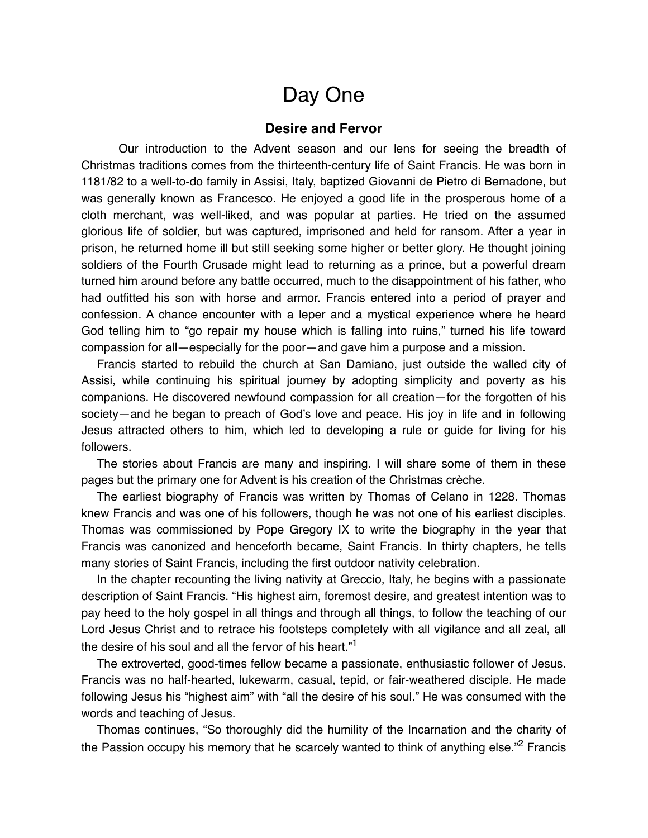## Day One

## **Desire and Fervor**

Our introduction to the Advent season and our lens for seeing the breadth of Christmas traditions comes from the thirteenth-century life of Saint Francis. He was born in 1181/82 to a well-to-do family in Assisi, Italy, baptized Giovanni de Pietro di Bernadone, but was generally known as Francesco. He enjoyed a good life in the prosperous home of a cloth merchant, was well-liked, and was popular at parties. He tried on the assumed glorious life of soldier, but was captured, imprisoned and held for ransom. After a year in prison, he returned home ill but still seeking some higher or better glory. He thought joining soldiers of the Fourth Crusade might lead to returning as a prince, but a powerful dream turned him around before any battle occurred, much to the disappointment of his father, who had outfitted his son with horse and armor. Francis entered into a period of prayer and confession. A chance encounter with a leper and a mystical experience where he heard God telling him to "go repair my house which is falling into ruins," turned his life toward compassion for all—especially for the poor—and gave him a purpose and a mission.

Francis started to rebuild the church at San Damiano, just outside the walled city of Assisi, while continuing his spiritual journey by adopting simplicity and poverty as his companions. He discovered newfound compassion for all creation—for the forgotten of his society—and he began to preach of God's love and peace. His joy in life and in following Jesus attracted others to him, which led to developing a rule or guide for living for his followers.

The stories about Francis are many and inspiring. I will share some of them in these pages but the primary one for Advent is his creation of the Christmas crèche.

The earliest biography of Francis was written by Thomas of Celano in 1228. Thomas knew Francis and was one of his followers, though he was not one of his earliest disciples. Thomas was commissioned by Pope Gregory IX to write the biography in the year that Francis was canonized and henceforth became, Saint Francis. In thirty chapters, he tells many stories of Saint Francis, including the first outdoor nativity celebration.

In the chapter recounting the living nativity at Greccio, Italy, he begins with a passionate description of Saint Francis. "His highest aim, foremost desire, and greatest intention was to pay heed to the holy gospel in all things and through all things, to follow the teaching of our Lord Jesus Christ and to retrace his footsteps completely with all vigilance and all zeal, all the desire of his soul and all the fervor of his heart."<sup>1</sup>

The extroverted, good-times fellow became a passionate, enthusiastic follower of Jesus. Francis was no half-hearted, lukewarm, casual, tepid, or fair-weathered disciple. He made following Jesus his "highest aim" with "all the desire of his soul." He was consumed with the words and teaching of Jesus.

Thomas continues, "So thoroughly did the humility of the Incarnation and the charity of the Passion occupy his memory that he scarcely wanted to think of anything else."<sup>2</sup> Francis